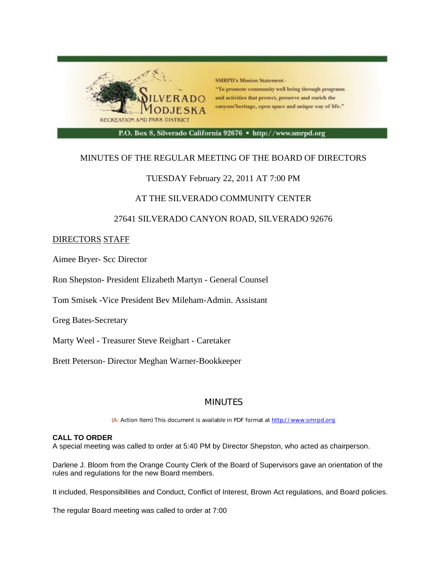

## MINUTES OF THE REGULAR MEETING OF THE BOARD OF DIRECTORS

## TUESDAY February 22, 2011 AT 7:00 PM

## AT THE SILVERADO COMMUNITY CENTER

## 27641 SILVERADO CANYON ROAD, SILVERADO 92676

### DIRECTORS STAFF

Aimee Bryer- Scc Director

Ron Shepston- President Elizabeth Martyn - General Counsel

Tom Smisek -Vice President Bev Mileham-Admin. Assistant

Greg Bates-Secretary

Marty Weel - Treasurer Steve Reighart - Caretaker

Brett Peterson- Director Meghan Warner-Bookkeeper

# **MINUTES**

(A: Action Item) This document is available in PDF format at http://www.smrpd.org

### **CALL TO ORDER**

A special meeting was called to order at 5:40 PM by Director Shepston, who acted as chairperson.

Darlene J. Bloom from the Orange County Clerk of the Board of Supervisors gave an orientation of the rules and regulations for the new Board members.

It included, Responsibilities and Conduct, Conflict of Interest, Brown Act regulations, and Board policies.

The regular Board meeting was called to order at 7:00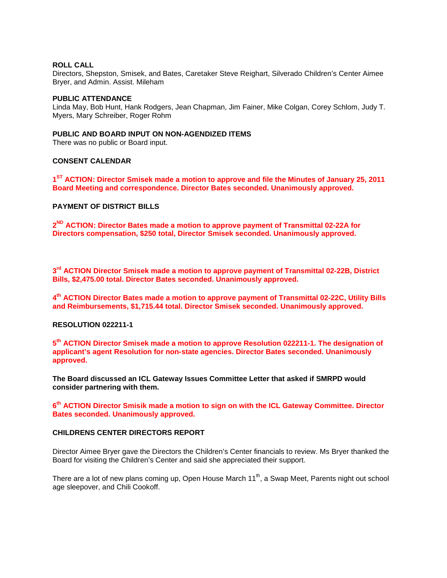#### **ROLL CALL**

Directors, Shepston, Smisek, and Bates, Caretaker Steve Reighart, Silverado Children's Center Aimee Bryer, and Admin. Assist. Mileham

#### **PUBLIC ATTENDANCE**

Linda May, Bob Hunt, Hank Rodgers, Jean Chapman, Jim Fainer, Mike Colgan, Corey Schlom, Judy T. Myers, Mary Schreiber, Roger Rohm

### **PUBLIC AND BOARD INPUT ON NON-AGENDIZED ITEMS**

There was no public or Board input.

### **CONSENT CALENDAR**

**1ST ACTION: Director Smisek made a motion to approve and file the Minutes of January 25, 2011 Board Meeting and correspondence. Director Bates seconded. Unanimously approved.**

#### **PAYMENT OF DISTRICT BILLS**

**2ND ACTION: Director Bates made a motion to approve payment of Transmittal 02-22A for Directors compensation, \$250 total, Director Smisek seconded. Unanimously approved.**

**3rd ACTION Director Smisek made a motion to approve payment of Transmittal 02-22B, District Bills, \$2,475.00 total. Director Bates seconded. Unanimously approved.**

**4th ACTION Director Bates made a motion to approve payment of Transmittal 02-22C, Utility Bills and Reimbursements, \$1,715.44 total. Director Smisek seconded. Unanimously approved.** 

#### **RESOLUTION 022211-1**

**5th ACTION Director Smisek made a motion to approve Resolution 022211-1. The designation of applicant's agent Resolution for non-state agencies. Director Bates seconded. Unanimously approved.**

**The Board discussed an ICL Gateway Issues Committee Letter that asked if SMRPD would consider partnering with them.**

**6th ACTION Director Smisik made a motion to sign on with the ICL Gateway Committee. Director Bates seconded. Unanimously approved.**

### **CHILDRENS CENTER DIRECTORS REPORT**

Director Aimee Bryer gave the Directors the Children's Center financials to review. Ms Bryer thanked the Board for visiting the Children's Center and said she appreciated their support.

There are a lot of new plans coming up, Open House March 11<sup>th</sup>, a Swap Meet, Parents night out school age sleepover, and Chili Cookoff.